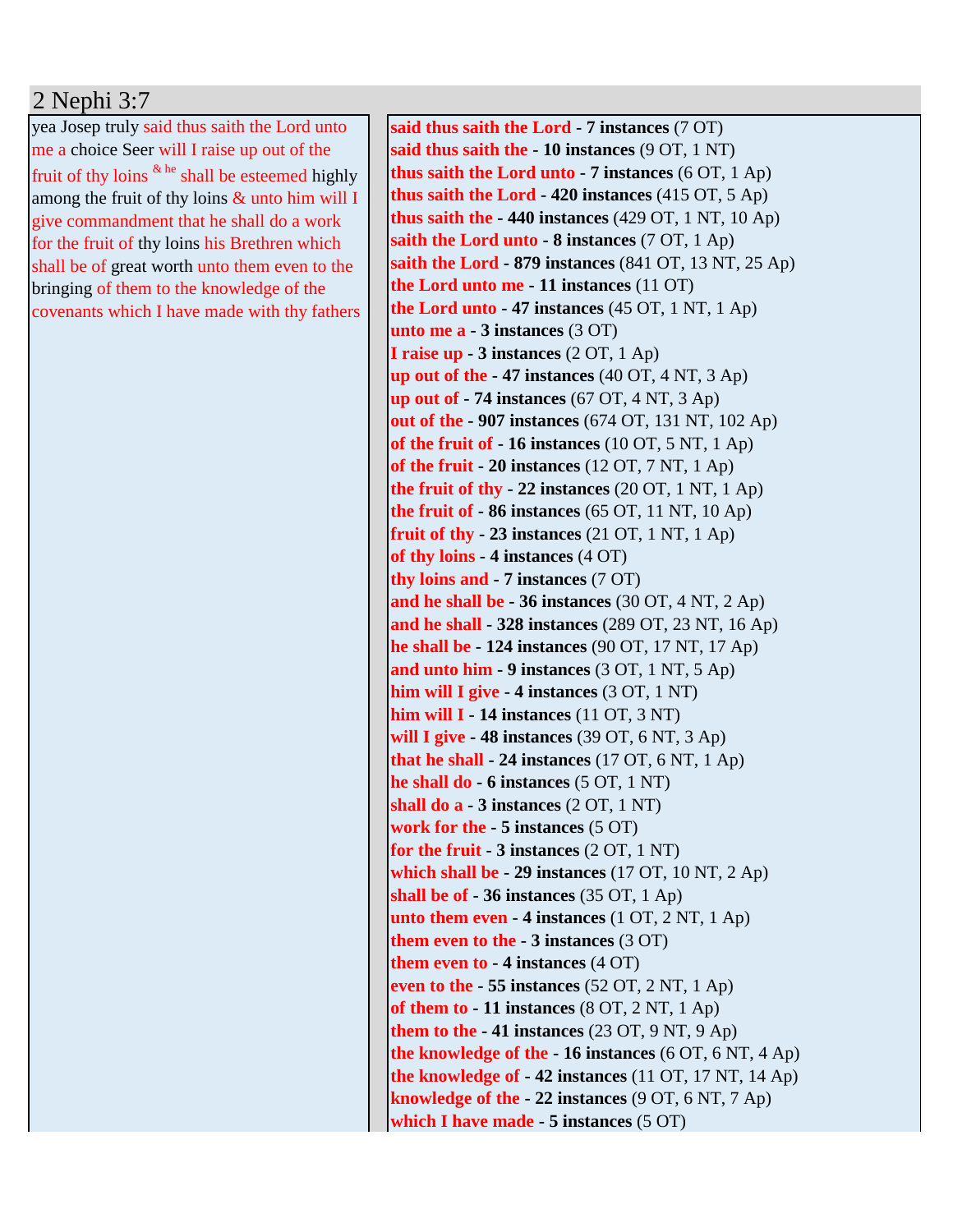## 2 Nephi 3:7

yea Josep truly said thus saith the Lord unto me a choice Seer will I raise up out of the fruit of thy loins  $\frac{k}{n}$  shall be esteemed highly among the fruit of thy loins & unto him will I give commandment that he shall do a work for the fruit of thy loins his Brethren which shall be of great worth unto them even to the bringing of them to the knowledge of the covenants which I have made with thy fathers

**said thus saith the Lord - 7 instances** (7 OT) **said thus saith the - 10 instances** (9 OT, 1 NT) **thus saith the Lord unto - 7 instances** (6 OT, 1 Ap) **thus saith the Lord - 420 instances** (415 OT, 5 Ap) **thus saith the - 440 instances** (429 OT, 1 NT, 10 Ap) **saith the Lord unto - 8 instances** (7 OT, 1 Ap) **saith the Lord - 879 instances** (841 OT, 13 NT, 25 Ap) **the Lord unto me - 11 instances** (11 OT) **the Lord unto - 47 instances** (45 OT, 1 NT, 1 Ap) **unto me a - 3 instances** (3 OT) **I raise up - 3 instances** (2 OT, 1 Ap) **up out of the - 47 instances** (40 OT, 4 NT, 3 Ap) **up out of - 74 instances** (67 OT, 4 NT, 3 Ap) **out of the - 907 instances** (674 OT, 131 NT, 102 Ap) **of the fruit of - 16 instances** (10 OT, 5 NT, 1 Ap) **of the fruit - 20 instances** (12 OT, 7 NT, 1 Ap) **the fruit of thy - 22 instances** (20 OT, 1 NT, 1 Ap) **the fruit of - 86 instances** (65 OT, 11 NT, 10 Ap) **fruit of thy - 23 instances** (21 OT, 1 NT, 1 Ap) **of thy loins - 4 instances** (4 OT) **thy loins and - 7 instances** (7 OT) **and he shall be - 36 instances** (30 OT, 4 NT, 2 Ap) **and he shall - 328 instances** (289 OT, 23 NT, 16 Ap) **he shall be - 124 instances** (90 OT, 17 NT, 17 Ap) **and unto him - 9 instances** (3 OT, 1 NT, 5 Ap) **him will I give - 4 instances** (3 OT, 1 NT) **him will I - 14 instances** (11 OT, 3 NT) **will I give - 48 instances** (39 OT, 6 NT, 3 Ap) **that he shall - 24 instances** (17 OT, 6 NT, 1 Ap) **he shall do - 6 instances** (5 OT, 1 NT) **shall do a - 3 instances** (2 OT, 1 NT) **work for the - 5 instances** (5 OT) **for the fruit - 3 instances** (2 OT, 1 NT) **which shall be - 29 instances** (17 OT, 10 NT, 2 Ap) **shall be of - 36 instances** (35 OT, 1 Ap) **unto them even - 4 instances** (1 OT, 2 NT, 1 Ap) **them even to the - 3 instances** (3 OT) **them even to - 4 instances** (4 OT) **even to the - 55 instances** (52 OT, 2 NT, 1 Ap) **of them to - 11 instances** (8 OT, 2 NT, 1 Ap) **them to the - 41 instances** (23 OT, 9 NT, 9 Ap) **the knowledge of the - 16 instances** (6 OT, 6 NT, 4 Ap) **the knowledge of - 42 instances** (11 OT, 17 NT, 14 Ap) **knowledge of the - 22 instances** (9 OT, 6 NT, 7 Ap) **which I have made - 5 instances** (5 OT)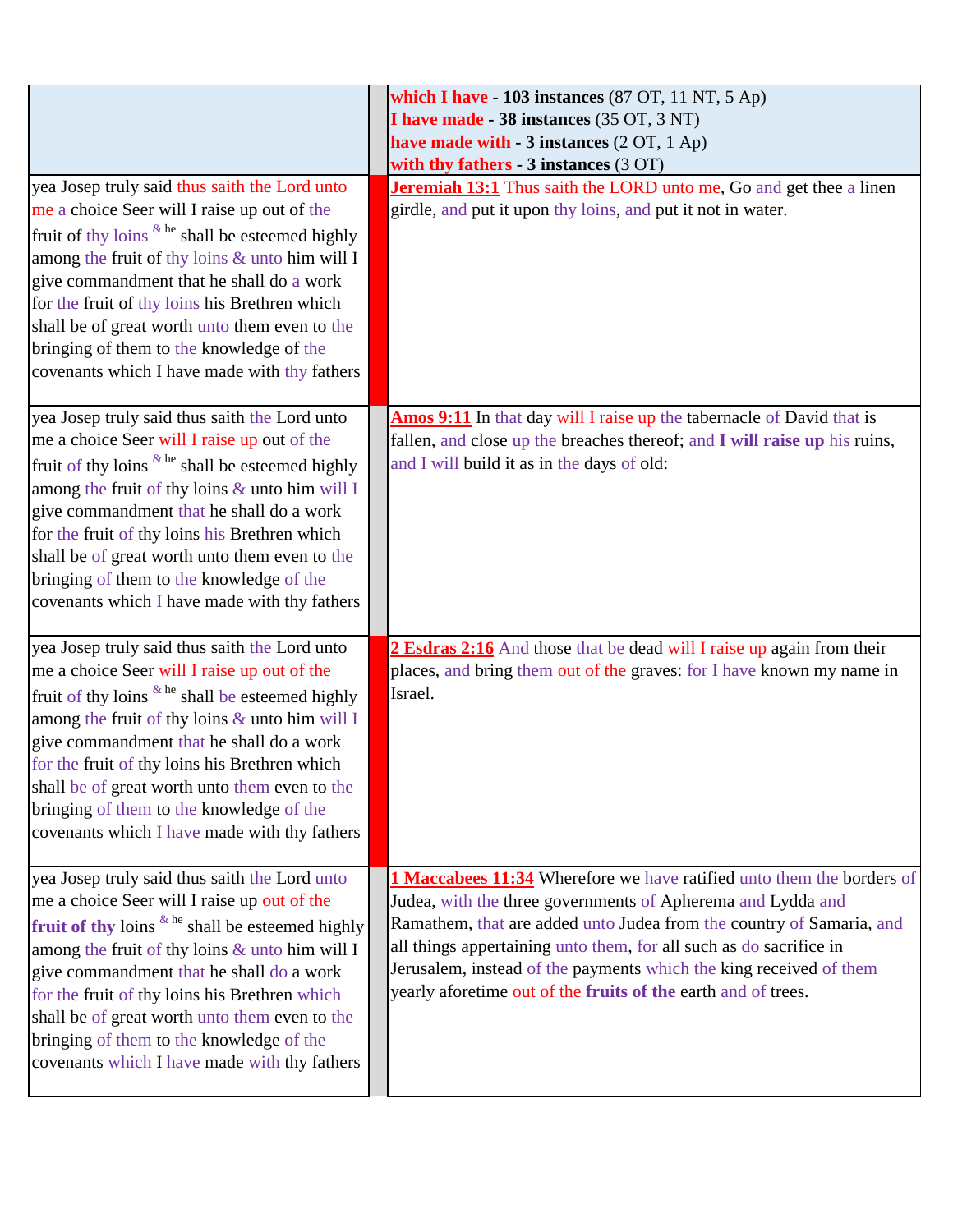| yea Josep truly said thus saith the Lord unto                                                                                                                                                                                                                                                                                                                                                                                                             | which I have - 103 instances (87 OT, 11 NT, 5 Ap)<br>I have made - 38 instances (35 OT, 3 NT)<br>have made with $-3$ instances (2 OT, 1 Ap)<br>with thy fathers $-3$ instances $(3 OT)$<br><b>Jeremiah 13:1</b> Thus saith the LORD unto me, Go and get thee a linen                                                                                                                                                      |
|-----------------------------------------------------------------------------------------------------------------------------------------------------------------------------------------------------------------------------------------------------------------------------------------------------------------------------------------------------------------------------------------------------------------------------------------------------------|---------------------------------------------------------------------------------------------------------------------------------------------------------------------------------------------------------------------------------------------------------------------------------------------------------------------------------------------------------------------------------------------------------------------------|
| me a choice Seer will I raise up out of the<br>fruit of thy loins <sup>&amp; he</sup> shall be esteemed highly<br>among the fruit of thy loins & unto him will I<br>give commandment that he shall do a work<br>for the fruit of thy loins his Brethren which<br>shall be of great worth unto them even to the<br>bringing of them to the knowledge of the<br>covenants which I have made with thy fathers                                                | girdle, and put it upon thy loins, and put it not in water.                                                                                                                                                                                                                                                                                                                                                               |
| yea Josep truly said thus saith the Lord unto<br>me a choice Seer will I raise up out of the<br>fruit of thy loins $k$ <sup>he</sup> shall be esteemed highly<br>among the fruit of thy loins & unto him will I<br>give commandment that he shall do a work<br>for the fruit of thy loins his Brethren which<br>shall be of great worth unto them even to the<br>bringing of them to the knowledge of the<br>covenants which I have made with thy fathers | Amos 9:11 In that day will I raise up the tabernacle of David that is<br>fallen, and close up the breaches thereof; and I will raise up his ruins,<br>and I will build it as in the days of old:                                                                                                                                                                                                                          |
| yea Josep truly said thus saith the Lord unto<br>me a choice Seer will I raise up out of the<br>fruit of thy loins $k$ <sup>he</sup> shall be esteemed highly<br>among the fruit of thy loins & unto him will I<br>give commandment that he shall do a work<br>for the fruit of thy loins his Brethren which<br>shall be of great worth unto them even to the<br>bringing of them to the knowledge of the<br>covenants which I have made with thy fathers | 2 Esdras 2:16 And those that be dead will I raise up again from their<br>places, and bring them out of the graves: for I have known my name in<br>Israel.                                                                                                                                                                                                                                                                 |
| yea Josep truly said thus saith the Lord unto<br>me a choice Seer will I raise up out of the<br>fruit of thy loins $k$ he shall be esteemed highly<br>among the fruit of thy loins & unto him will I<br>give commandment that he shall do a work<br>for the fruit of thy loins his Brethren which<br>shall be of great worth unto them even to the<br>bringing of them to the knowledge of the<br>covenants which I have made with thy fathers            | 1 Maccabees 11:34 Wherefore we have ratified unto them the borders of<br>Judea, with the three governments of Apherema and Lydda and<br>Ramathem, that are added unto Judea from the country of Samaria, and<br>all things appertaining unto them, for all such as do sacrifice in<br>Jerusalem, instead of the payments which the king received of them<br>yearly aforetime out of the fruits of the earth and of trees. |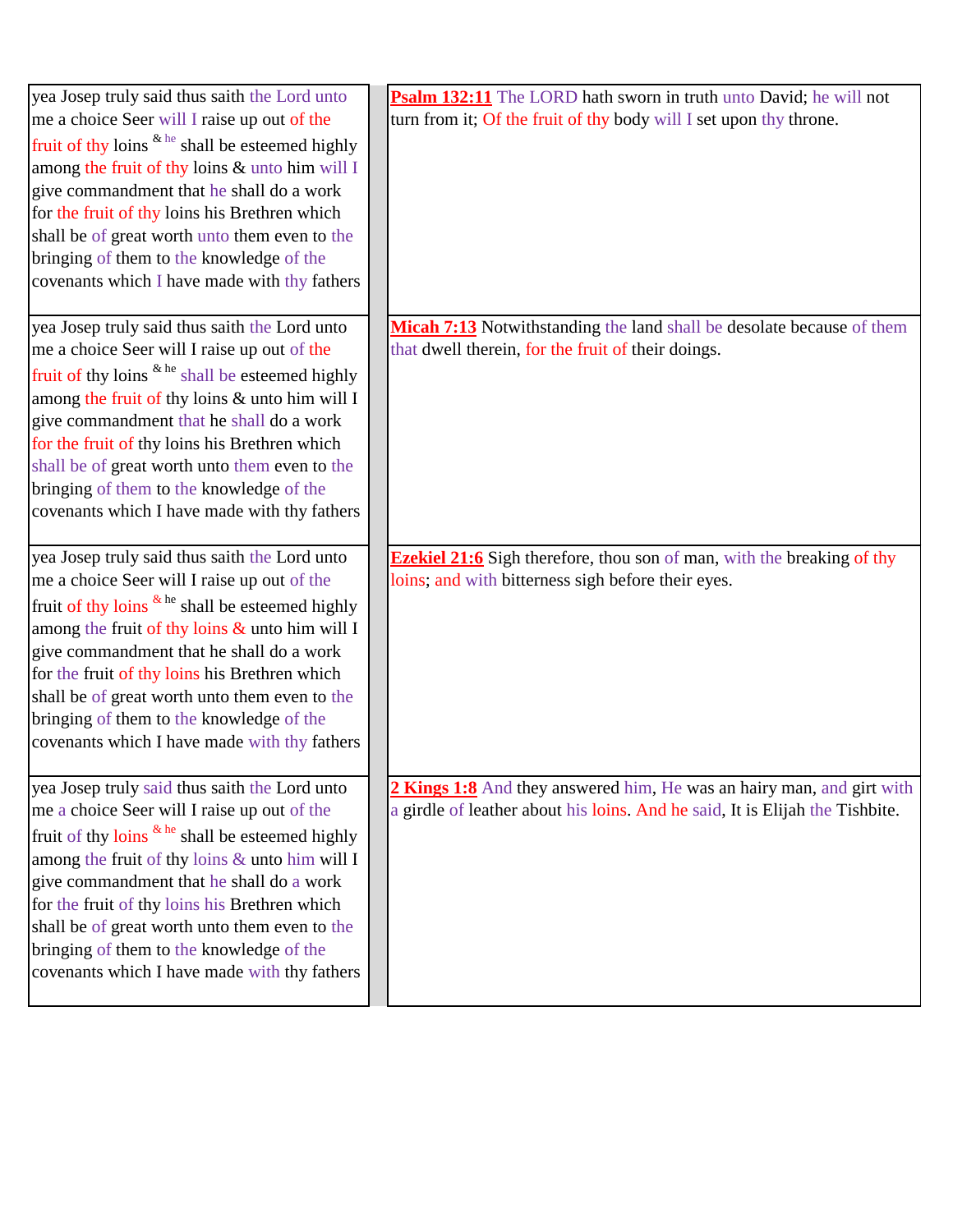| yea Josep truly said thus saith the Lord unto                        | Psalm 132:11 The LORD hath sworn in truth unto David; he will not             |
|----------------------------------------------------------------------|-------------------------------------------------------------------------------|
| me a choice Seer will I raise up out of the                          | turn from it; Of the fruit of thy body will I set upon thy throne.            |
| fruit of thy loins $k \neq 0$ shall be esteemed highly               |                                                                               |
| among the fruit of thy loins & unto him will I                       |                                                                               |
| give commandment that he shall do a work                             |                                                                               |
| for the fruit of thy loins his Brethren which                        |                                                                               |
| shall be of great worth unto them even to the                        |                                                                               |
| bringing of them to the knowledge of the                             |                                                                               |
| covenants which I have made with thy fathers                         |                                                                               |
| yea Josep truly said thus saith the Lord unto                        | Micah 7:13 Notwithstanding the land shall be desolate because of them         |
| me a choice Seer will I raise up out of the                          | that dwell therein, for the fruit of their doings.                            |
| fruit of thy loins <sup>&amp; he</sup> shall be esteemed highly      |                                                                               |
| among the fruit of thy loins & unto him will I                       |                                                                               |
| give commandment that he shall do a work                             |                                                                               |
| for the fruit of thy loins his Brethren which                        |                                                                               |
| shall be of great worth unto them even to the                        |                                                                               |
| bringing of them to the knowledge of the                             |                                                                               |
| covenants which I have made with thy fathers                         |                                                                               |
| yea Josep truly said thus saith the Lord unto                        | <b>Ezekiel 21:6</b> Sigh therefore, thou son of man, with the breaking of thy |
| me a choice Seer will I raise up out of the                          | loins; and with bitterness sigh before their eyes.                            |
| fruit of thy loins $\⊂>he$ shall be esteemed highly                  |                                                                               |
| among the fruit of thy loins $\&$ unto him will I                    |                                                                               |
| give commandment that he shall do a work                             |                                                                               |
| for the fruit of thy loins his Brethren which                        |                                                                               |
| shall be of great worth unto them even to the                        |                                                                               |
| bringing of them to the knowledge of the                             |                                                                               |
| covenants which I have made with thy fathers                         |                                                                               |
| yea Josep truly said thus saith the Lord unto                        | 2 Kings 1:8 And they answered him, He was an hairy man, and girt with         |
| me a choice Seer will I raise up out of the                          | a girdle of leather about his loins. And he said, It is Elijah the Tishbite.  |
| fruit of thy loins $\frac{k \text{ he}}{k}$ shall be esteemed highly |                                                                               |
| among the fruit of thy loins & unto him will I                       |                                                                               |
| give commandment that he shall do a work                             |                                                                               |
| for the fruit of thy loins his Brethren which                        |                                                                               |
| shall be of great worth unto them even to the                        |                                                                               |
| bringing of them to the knowledge of the                             |                                                                               |
| covenants which I have made with thy fathers                         |                                                                               |
|                                                                      |                                                                               |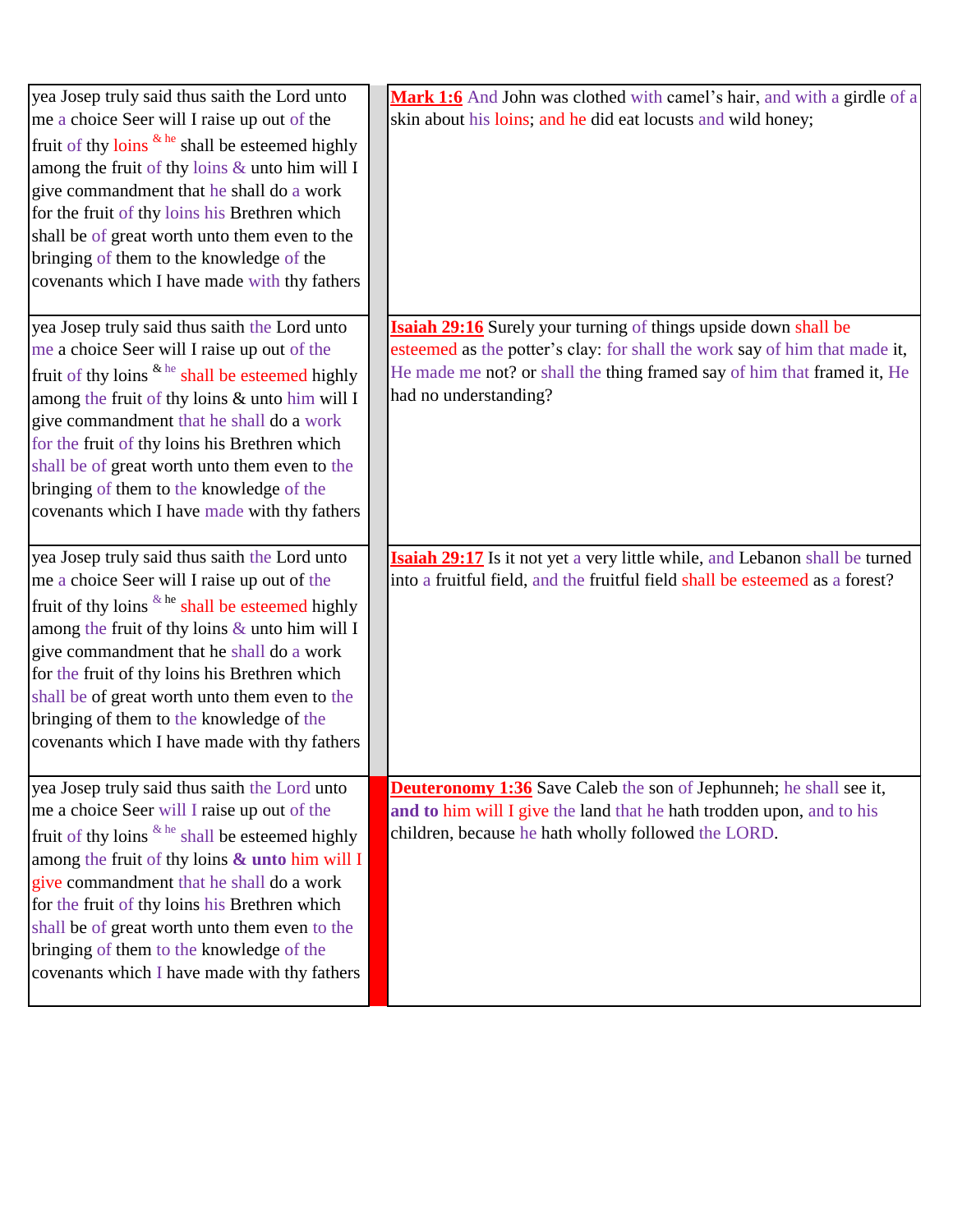| yea Josep truly said thus saith the Lord unto<br>me a choice Seer will I raise up out of the<br>fruit of thy loins <sup>&amp; he</sup> shall be esteemed highly<br>among the fruit of thy loins & unto him will I<br>give commandment that he shall do a work<br>for the fruit of thy loins his Brethren which<br>shall be of great worth unto them even to the<br>bringing of them to the knowledge of the<br>covenants which I have made with thy fathers    | Mark 1:6 And John was clothed with camel's hair, and with a girdle of a<br>skin about his loins; and he did eat locusts and wild honey;                                                                                                                  |
|----------------------------------------------------------------------------------------------------------------------------------------------------------------------------------------------------------------------------------------------------------------------------------------------------------------------------------------------------------------------------------------------------------------------------------------------------------------|----------------------------------------------------------------------------------------------------------------------------------------------------------------------------------------------------------------------------------------------------------|
| yea Josep truly said thus saith the Lord unto<br>me a choice Seer will I raise up out of the<br>fruit of thy loins <sup>&amp; he</sup> shall be esteemed highly<br>among the fruit of thy loins & unto him will I<br>give commandment that he shall do a work<br>for the fruit of thy loins his Brethren which<br>shall be of great worth unto them even to the<br>bringing of them to the knowledge of the<br>covenants which I have made with thy fathers    | <b>Isaiah 29:16</b> Surely your turning of things upside down shall be<br>esteemed as the potter's clay: for shall the work say of him that made it,<br>He made me not? or shall the thing framed say of him that framed it, He<br>had no understanding? |
| yea Josep truly said thus saith the Lord unto<br>me a choice Seer will I raise up out of the<br>fruit of thy loins <sup>&amp; he</sup> shall be esteemed highly<br>among the fruit of thy loins $\&$ unto him will I<br>give commandment that he shall do a work<br>for the fruit of thy loins his Brethren which<br>shall be of great worth unto them even to the<br>bringing of them to the knowledge of the<br>covenants which I have made with thy fathers | Isaiah 29:17 Is it not yet a very little while, and Lebanon shall be turned<br>into a fruitful field, and the fruitful field shall be esteemed as a forest?                                                                                              |
| yea Josep truly said thus saith the Lord unto<br>me a choice Seer will I raise up out of the<br>fruit of thy loins <sup>&amp; he</sup> shall be esteemed highly<br>among the fruit of thy loins & unto him will I<br>give commandment that he shall do a work<br>for the fruit of thy loins his Brethren which<br>shall be of great worth unto them even to the<br>bringing of them to the knowledge of the<br>covenants which I have made with thy fathers    | <b>Deuteronomy 1:36</b> Save Caleb the son of Jephunneh; he shall see it,<br>and to him will I give the land that he hath trodden upon, and to his<br>children, because he hath wholly followed the LORD.                                                |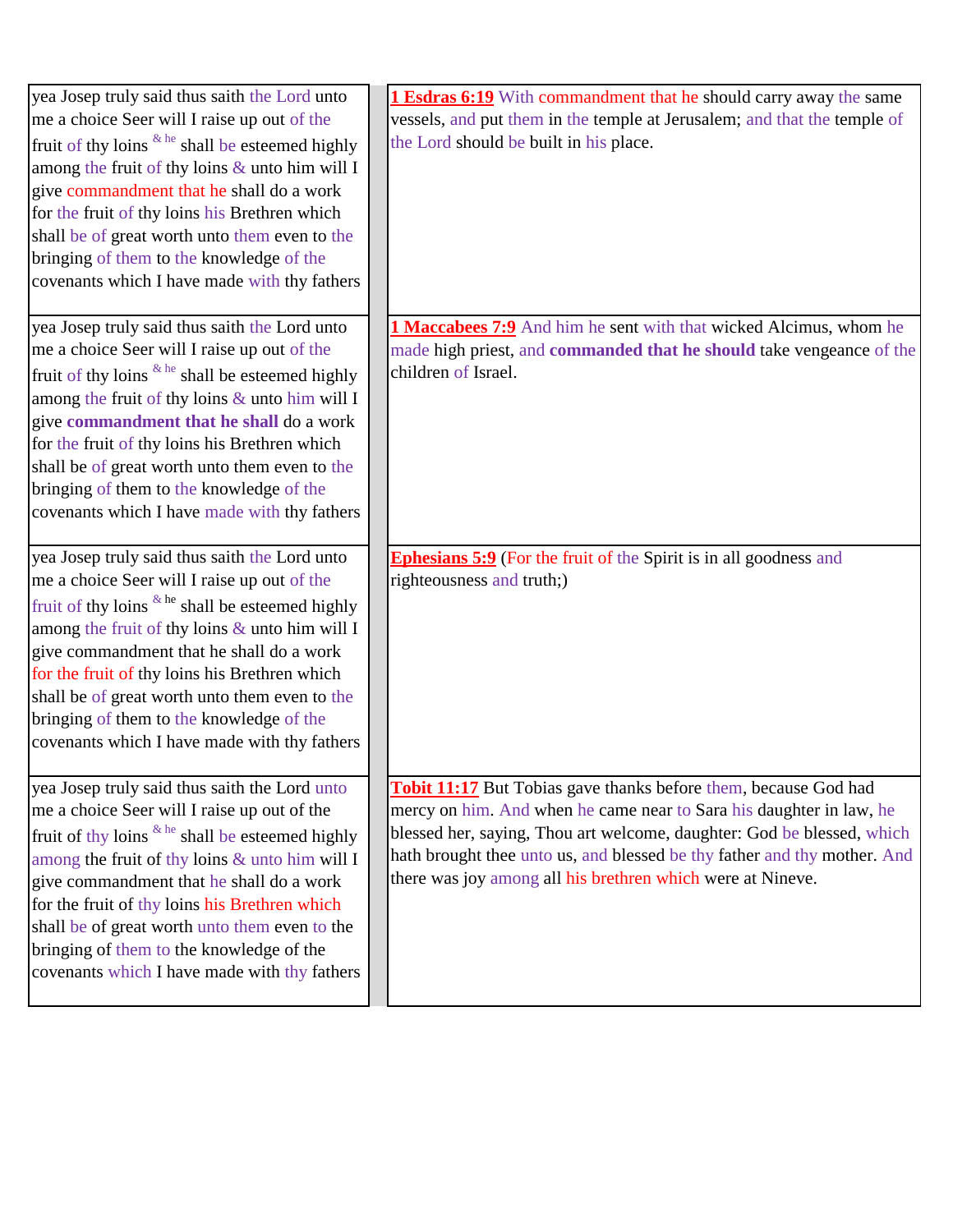| yea Josep truly said thus saith the Lord unto<br>me a choice Seer will I raise up out of the<br>fruit of thy loins <sup>&amp; he</sup> shall be esteemed highly<br>among the fruit of thy loins & unto him will I<br>give commandment that he shall do a work<br>for the fruit of thy loins his Brethren which<br>shall be of great worth unto them even to the<br>bringing of them to the knowledge of the<br>covenants which I have made with thy fathers | <b>1 Esdras 6:19</b> With commandment that he should carry away the same<br>vessels, and put them in the temple at Jerusalem; and that the temple of<br>the Lord should be built in his place.                                                                                                                                                                    |
|-------------------------------------------------------------------------------------------------------------------------------------------------------------------------------------------------------------------------------------------------------------------------------------------------------------------------------------------------------------------------------------------------------------------------------------------------------------|-------------------------------------------------------------------------------------------------------------------------------------------------------------------------------------------------------------------------------------------------------------------------------------------------------------------------------------------------------------------|
| yea Josep truly said thus saith the Lord unto<br>me a choice Seer will I raise up out of the<br>fruit of thy loins $\&$ he shall be esteemed highly<br>among the fruit of thy loins & unto him will I<br>give commandment that he shall do a work<br>for the fruit of thy loins his Brethren which<br>shall be of great worth unto them even to the<br>bringing of them to the knowledge of the<br>covenants which I have made with thy fathers             | <b>1 Maccabees 7:9</b> And him he sent with that wicked Alcimus, whom he<br>made high priest, and commanded that he should take vengeance of the<br>children of Israel.                                                                                                                                                                                           |
| yea Josep truly said thus saith the Lord unto<br>me a choice Seer will I raise up out of the<br>fruit of thy loins $k$ <sup>he</sup> shall be esteemed highly<br>among the fruit of thy loins & unto him will I<br>give commandment that he shall do a work<br>for the fruit of thy loins his Brethren which<br>shall be of great worth unto them even to the<br>bringing of them to the knowledge of the<br>covenants which I have made with thy fathers   | <b>Ephesians 5:9</b> (For the fruit of the Spirit is in all goodness and<br>righteousness and truth;)                                                                                                                                                                                                                                                             |
| yea Josep truly said thus saith the Lord unto<br>me a choice Seer will I raise up out of the<br>fruit of thy loins & he shall be esteemed highly<br>among the fruit of thy loins & unto him will I<br>give commandment that he shall do a work<br>for the fruit of thy loins his Brethren which<br>shall be of great worth unto them even to the<br>bringing of them to the knowledge of the<br>covenants which I have made with thy fathers                | <b>Tobit 11:17</b> But Tobias gave thanks before them, because God had<br>mercy on him. And when he came near to Sara his daughter in law, he<br>blessed her, saying, Thou art welcome, daughter: God be blessed, which<br>hath brought thee unto us, and blessed be thy father and thy mother. And<br>there was joy among all his brethren which were at Nineve. |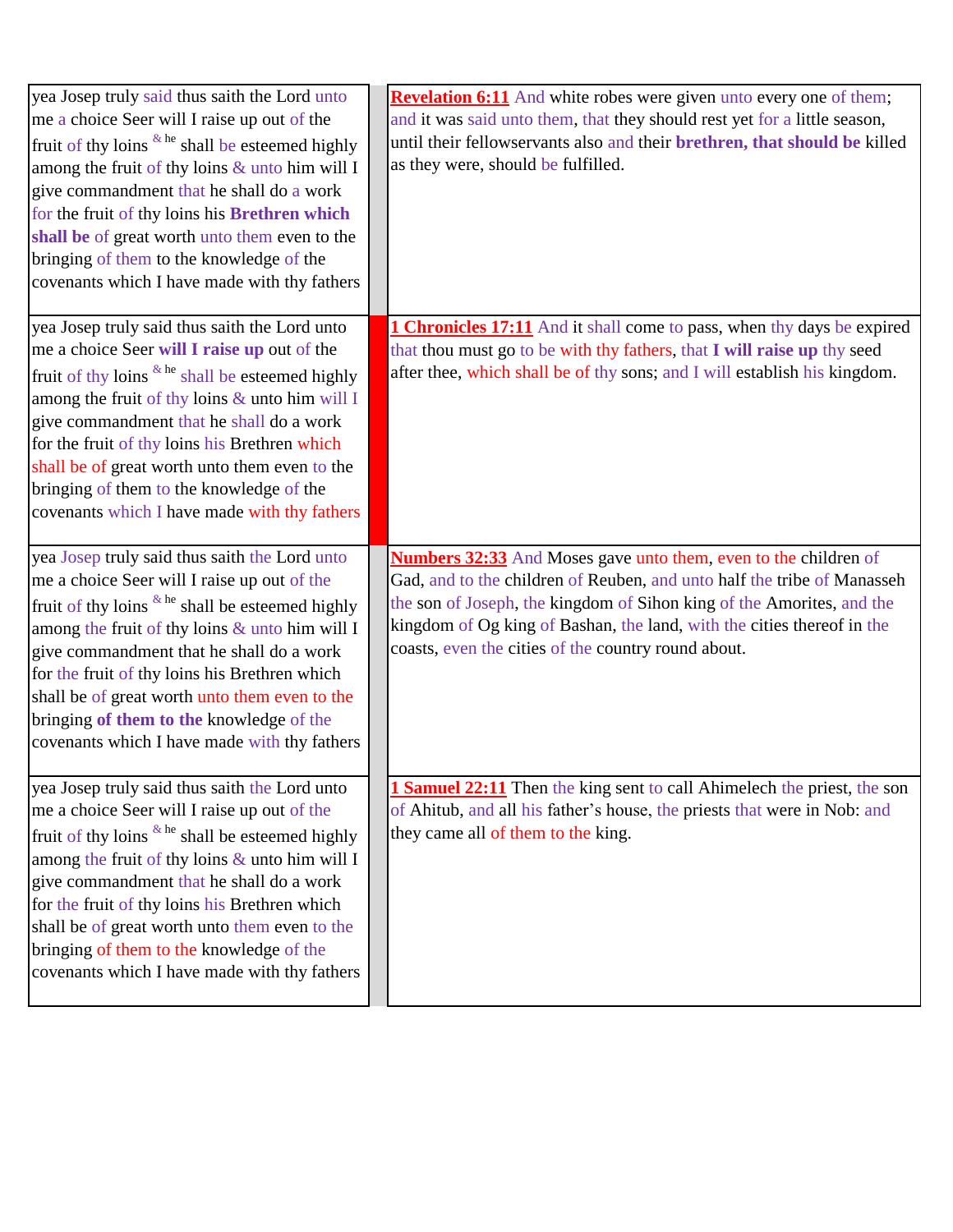| yea Josep truly said thus saith the Lord unto<br>me a choice Seer will I raise up out of the<br>fruit of thy loins <sup>&amp; he</sup> shall be esteemed highly<br>among the fruit of thy loins & unto him will I<br>give commandment that he shall do a work<br>for the fruit of thy loins his Brethren which<br>shall be of great worth unto them even to the<br>bringing of them to the knowledge of the<br>covenants which I have made with thy fathers | <b>Revelation 6:11</b> And white robes were given unto every one of them;<br>and it was said unto them, that they should rest yet for a little season,<br>until their fellowservants also and their brethren, that should be killed<br>as they were, should be fulfilled.                                                                                   |
|-------------------------------------------------------------------------------------------------------------------------------------------------------------------------------------------------------------------------------------------------------------------------------------------------------------------------------------------------------------------------------------------------------------------------------------------------------------|-------------------------------------------------------------------------------------------------------------------------------------------------------------------------------------------------------------------------------------------------------------------------------------------------------------------------------------------------------------|
| yea Josep truly said thus saith the Lord unto<br>me a choice Seer will I raise up out of the<br>fruit of thy loins $k$ <sup>he</sup> shall be esteemed highly<br>among the fruit of thy loins & unto him will I<br>give commandment that he shall do a work<br>for the fruit of thy loins his Brethren which<br>shall be of great worth unto them even to the<br>bringing of them to the knowledge of the<br>covenants which I have made with thy fathers   | <b>1 Chronicles 17:11</b> And it shall come to pass, when thy days be expired<br>that thou must go to be with thy fathers, that I will raise up thy seed<br>after thee, which shall be of thy sons; and I will establish his kingdom.                                                                                                                       |
| yea Josep truly said thus saith the Lord unto<br>me a choice Seer will I raise up out of the<br>fruit of thy loins $k$ <sup>he</sup> shall be esteemed highly<br>among the fruit of thy loins & unto him will I<br>give commandment that he shall do a work<br>for the fruit of thy loins his Brethren which<br>shall be of great worth unto them even to the<br>bringing of them to the knowledge of the<br>covenants which I have made with thy fathers   | <b>Numbers 32:33</b> And Moses gave unto them, even to the children of<br>Gad, and to the children of Reuben, and unto half the tribe of Manasseh<br>the son of Joseph, the kingdom of Sihon king of the Amorites, and the<br>kingdom of Og king of Bashan, the land, with the cities thereof in the<br>coasts, even the cities of the country round about. |
| yea Josep truly said thus saith the Lord unto<br>me a choice Seer will I raise up out of the<br>fruit of thy loins & he shall be esteemed highly<br>among the fruit of thy loins & unto him will I<br>give commandment that he shall do a work<br>for the fruit of thy loins his Brethren which<br>shall be of great worth unto them even to the<br>bringing of them to the knowledge of the<br>covenants which I have made with thy fathers                | <b>Samuel 22:11</b> Then the king sent to call Ahimelech the priest, the son<br>of Ahitub, and all his father's house, the priests that were in Nob: and<br>they came all of them to the king.                                                                                                                                                              |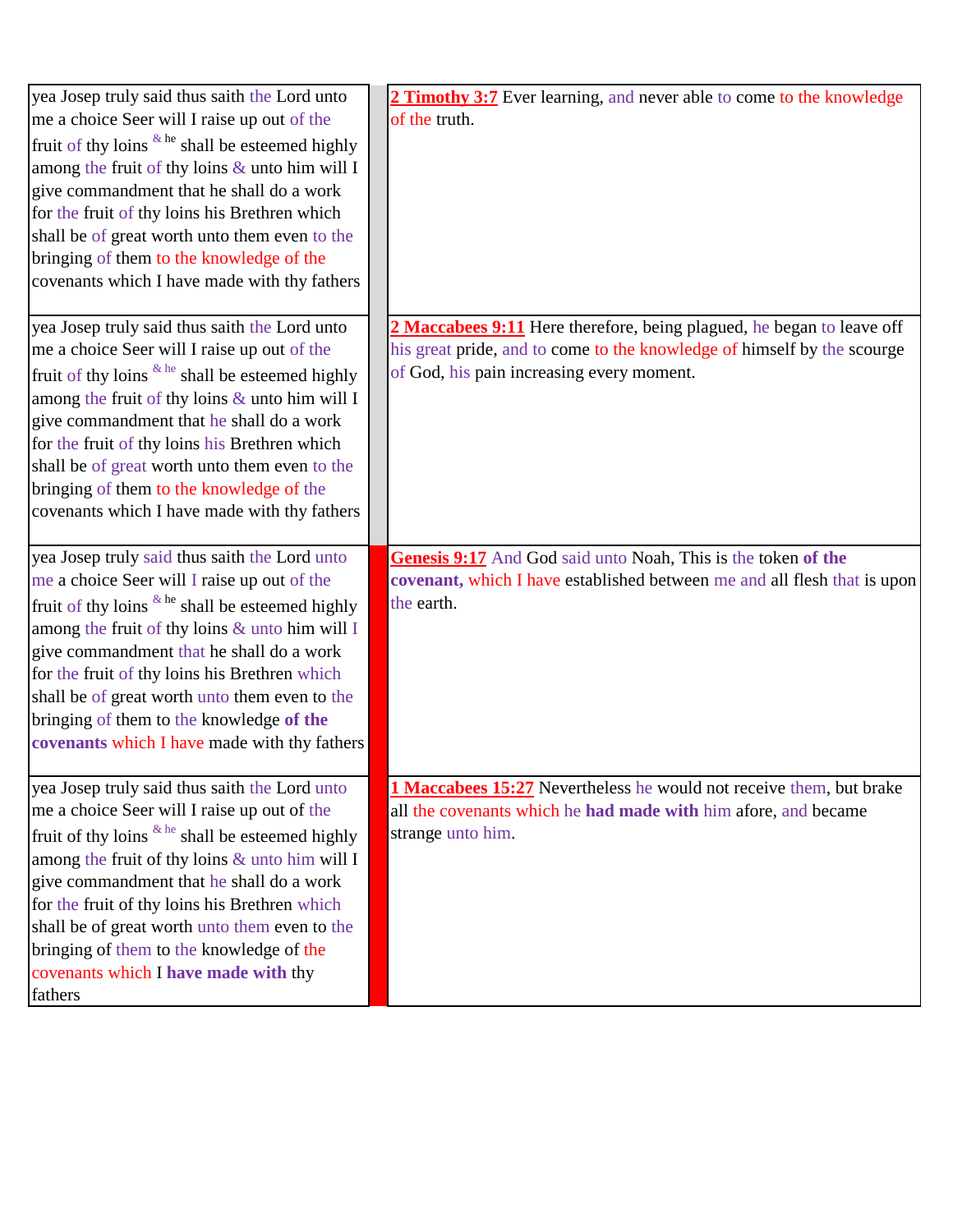| yea Josep truly said thus saith the Lord unto                                                      | 2 Timothy 3:7 Ever learning, and never able to come to the knowledge     |
|----------------------------------------------------------------------------------------------------|--------------------------------------------------------------------------|
| me a choice Seer will I raise up out of the                                                        | of the truth.                                                            |
| fruit of thy loins $k$ <sup>he</sup> shall be esteemed highly                                      |                                                                          |
| among the fruit of thy loins & unto him will I                                                     |                                                                          |
| give commandment that he shall do a work                                                           |                                                                          |
| for the fruit of thy loins his Brethren which                                                      |                                                                          |
| shall be of great worth unto them even to the                                                      |                                                                          |
| bringing of them to the knowledge of the                                                           |                                                                          |
| covenants which I have made with thy fathers                                                       |                                                                          |
| yea Josep truly said thus saith the Lord unto                                                      | 2 Maccabees 9:11 Here therefore, being plagued, he began to leave off    |
| me a choice Seer will I raise up out of the                                                        | his great pride, and to come to the knowledge of himself by the scourge  |
| fruit of thy loins $k$ <sup>he</sup> shall be esteemed highly                                      | of God, his pain increasing every moment.                                |
| among the fruit of thy loins & unto him will I                                                     |                                                                          |
| give commandment that he shall do a work                                                           |                                                                          |
| for the fruit of thy loins his Brethren which                                                      |                                                                          |
| shall be of great worth unto them even to the                                                      |                                                                          |
| bringing of them to the knowledge of the                                                           |                                                                          |
| covenants which I have made with thy fathers                                                       |                                                                          |
|                                                                                                    |                                                                          |
|                                                                                                    |                                                                          |
| yea Josep truly said thus saith the Lord unto                                                      | Genesis 9:17 And God said unto Noah, This is the token of the            |
| me a choice Seer will I raise up out of the                                                        | covenant, which I have established between me and all flesh that is upon |
| fruit of thy loins $\&$ he shall be esteemed highly                                                | the earth.                                                               |
| among the fruit of thy loins & unto him will I                                                     |                                                                          |
| give commandment that he shall do a work                                                           |                                                                          |
| for the fruit of thy loins his Brethren which                                                      |                                                                          |
| shall be of great worth unto them even to the                                                      |                                                                          |
| bringing of them to the knowledge of the                                                           |                                                                          |
| covenants which I have made with thy fathers                                                       |                                                                          |
| yea Josep truly said thus saith the Lord unto                                                      | 1 Maccabees 15:27 Nevertheless he would not receive them, but brake      |
| me a choice Seer will I raise up out of the                                                        | all the covenants which he had made with him afore, and became           |
|                                                                                                    | strange unto him.                                                        |
| fruit of thy loins & he shall be esteemed highly<br>among the fruit of thy loins & unto him will I |                                                                          |
| give commandment that he shall do a work                                                           |                                                                          |
| for the fruit of thy loins his Brethren which                                                      |                                                                          |
| shall be of great worth unto them even to the                                                      |                                                                          |
| bringing of them to the knowledge of the                                                           |                                                                          |
| covenants which I have made with thy                                                               |                                                                          |